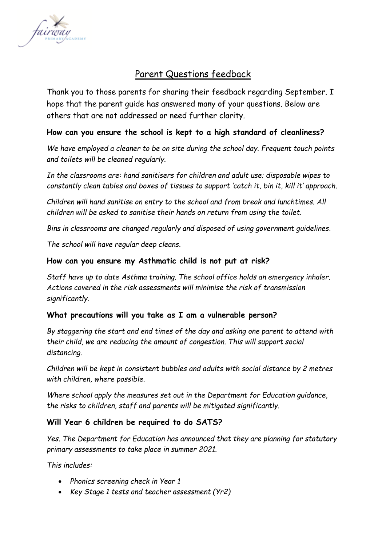

# Parent Questions feedback

Thank you to those parents for sharing their feedback regarding September. I hope that the parent guide has answered many of your questions. Below are others that are not addressed or need further clarity.

# **How can you ensure the school is kept to a high standard of cleanliness?**

*We have employed a cleaner to be on site during the school day. Frequent touch points and toilets will be cleaned regularly.* 

*In the classrooms are: hand sanitisers for children and adult use; disposable wipes to constantly clean tables and boxes of tissues to support 'catch it, bin it, kill it' approach.*

*Children will hand sanitise on entry to the school and from break and lunchtimes. All children will be asked to sanitise their hands on return from using the toilet.*

*Bins in classrooms are changed regularly and disposed of using government guidelines.*

*The school will have regular deep cleans.*

### **How can you ensure my Asthmatic child is not put at risk?**

*Staff have up to date Asthma training. The school office holds an emergency inhaler. Actions covered in the risk assessments will minimise the risk of transmission significantly.* 

### **What precautions will you take as I am a vulnerable person?**

*By staggering the start and end times of the day and asking one parent to attend with their child, we are reducing the amount of congestion. This will support social distancing.* 

*Children will be kept in consistent bubbles and adults with social distance by 2 metres with children, where possible.*

*Where school apply the measures set out in the Department for Education guidance, the risks to children, staff and parents will be mitigated significantly.*

### **Will Year 6 children be required to do SATS?**

*Yes. The Department for Education has announced that they are planning for statutory primary assessments to take place in summer 2021.* 

*This includes:*

- *Phonics screening check in Year 1*
- *Key Stage 1 tests and teacher assessment (Yr2)*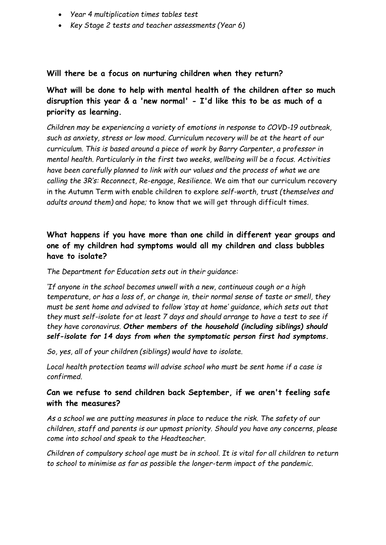- *Year 4 multiplication times tables test*
- *Key Stage 2 tests and teacher assessments (Year 6)*

#### **Will there be a focus on nurturing children when they return?**

**What will be done to help with mental health of the children after so much disruption this year & a 'new normal' - I'd like this to be as much of a priority as learning.**

*Children may be experiencing a variety of emotions in response to COVD-19 outbreak, such as anxiety, stress or low mood. Curriculum recovery will be at the heart of our curriculum. This is based around a piece of work by Barry Carpenter, a professor in mental health. Particularly in the first two weeks, wellbeing will be a focus. Activities have been carefully planned to link with our values and the process of what we are calling the 3R's: Reconnect, Re-engage, Resilience.* We aim that our curriculum recovery in the Autumn Term with enable children to explore *self-worth, trust (themselves and adults around them)* and *hope;* to know that we will get through difficult times.

# **What happens if you have more than one child in different year groups and one of my children had symptoms would all my children and class bubbles have to isolate?**

*The Department for Education sets out in their guidance:*

*'If anyone in the school becomes unwell with a new, continuous cough or a high temperature, or has a loss of, or change in, their normal sense of taste or smell, they must be sent home and advised to follow 'stay at home' guidance, which sets out that they must self-isolate for at least 7 days and should arrange to have a test to see if they have coronavirus. Other members of the household (including siblings) should self-isolate for 14 days from when the symptomatic person first had symptoms.* 

*So, yes, all of your children (siblings) would have to isolate.* 

*Local health protection teams will advise school who must be sent home if a case is confirmed.* 

# **Can we refuse to send children back September, if we aren't feeling safe with the measures?**

*As a school we are putting measures in place to reduce the risk. The safety of our children, staff and parents is our upmost priority. Should you have any concerns, please come into school and speak to the Headteacher.*

*Children of compulsory school age must be in school. It is vital for all children to return to school to minimise as far as possible the longer-term impact of the pandemic.*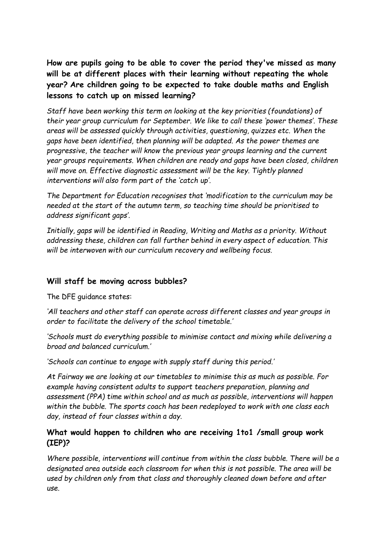**How are pupils going to be able to cover the period they've missed as many will be at different places with their learning without repeating the whole year? Are children going to be expected to take double maths and English lessons to catch up on missed learning?**

*Staff have been working this term on looking at the key priorities (foundations) of their year group curriculum for September. We like to call these 'power themes'. These areas will be assessed quickly through activities, questioning, quizzes etc. When the gaps have been identified, then planning will be adapted. As the power themes are progressive, the teacher will know the previous year groups learning and the current year groups requirements. When children are ready and gaps have been closed, children will move on. Effective diagnostic assessment will be the key. Tightly planned interventions will also form part of the 'catch up'.* 

*The Department for Education recognises that 'modification to the curriculum may be needed at the start of the autumn term, so teaching time should be prioritised to address significant gaps'.*

*Initially, gaps will be identified in Reading, Writing and Maths as a priority. Without addressing these, children can fall further behind in every aspect of education. This will be interwoven with our curriculum recovery and wellbeing focus.*

### **Will staff be moving across bubbles?**

The DFE guidance states:

*'All teachers and other staff can operate across different classes and year groups in order to facilitate the delivery of the school timetable.'*

*'Schools must do everything possible to minimise contact and mixing while delivering a broad and balanced curriculum.'*

*'Schools can continue to engage with supply staff during this period.'*

*At Fairway we are looking at our timetables to minimise this as much as possible. For example having consistent adults to support teachers preparation, planning and assessment (PPA) time within school and as much as possible, interventions will happen within the bubble. The sports coach has been redeployed to work with one class each day, instead of four classes within a day.*

# **What would happen to children who are receiving 1to1 /small group work (IEP)?**

*Where possible, interventions will continue from within the class bubble. There will be a designated area outside each classroom for when this is not possible. The area will be used by children only from that class and thoroughly cleaned down before and after use.*